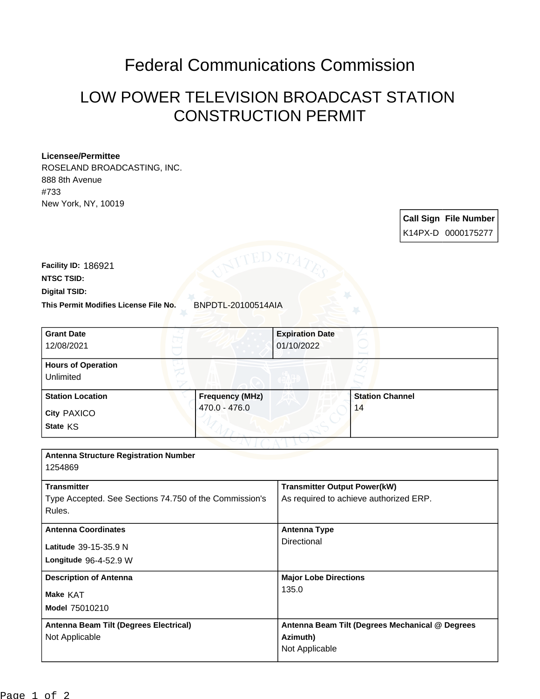## Federal Communications Commission

## LOW POWER TELEVISION BROADCAST STATION CONSTRUCTION PERMIT

## **Licensee/Permittee**

ROSELAND BROADCASTING, INC. 888 8th Avenue #733 New York, NY, 10019

> **Call Sign File Number** K14PX-D 0000175277

This Permit Modifies License File No. BNPDTL-20100514AIA **Digital TSID: NTSC TSID: Facility ID:** 186921

| <b>Grant Date</b>                                      |                        | <b>Expiration Date</b>                          |                        |
|--------------------------------------------------------|------------------------|-------------------------------------------------|------------------------|
| 12/08/2021                                             |                        | 01/10/2022                                      |                        |
| <b>Hours of Operation</b>                              |                        |                                                 |                        |
| Unlimited                                              |                        |                                                 |                        |
| <b>Station Location</b>                                | <b>Frequency (MHz)</b> |                                                 | <b>Station Channel</b> |
| City PAXICO                                            | 470.0 - 476.0          |                                                 | 14                     |
| State KS                                               |                        |                                                 |                        |
|                                                        |                        |                                                 |                        |
| <b>Antenna Structure Registration Number</b>           |                        |                                                 |                        |
| 1254869                                                |                        |                                                 |                        |
| <b>Transmitter</b>                                     |                        | <b>Transmitter Output Power(kW)</b>             |                        |
| Type Accepted. See Sections 74.750 of the Commission's |                        | As required to achieve authorized ERP.          |                        |
| Rules.                                                 |                        |                                                 |                        |
| <b>Antenna Coordinates</b>                             |                        | <b>Antenna Type</b>                             |                        |
| Latitude 39-15-35.9 N                                  |                        | <b>Directional</b>                              |                        |
| Longitude 96-4-52.9 W                                  |                        |                                                 |                        |
| <b>Description of Antenna</b>                          |                        | <b>Major Lobe Directions</b>                    |                        |
| Make KAT                                               |                        | 135.0                                           |                        |
| Model 75010210                                         |                        |                                                 |                        |
| Antenna Beam Tilt (Degrees Electrical)                 |                        | Antenna Beam Tilt (Degrees Mechanical @ Degrees |                        |
| Not Applicable                                         |                        | Azimuth)                                        |                        |
|                                                        |                        | Not Applicable                                  |                        |
|                                                        |                        |                                                 |                        |